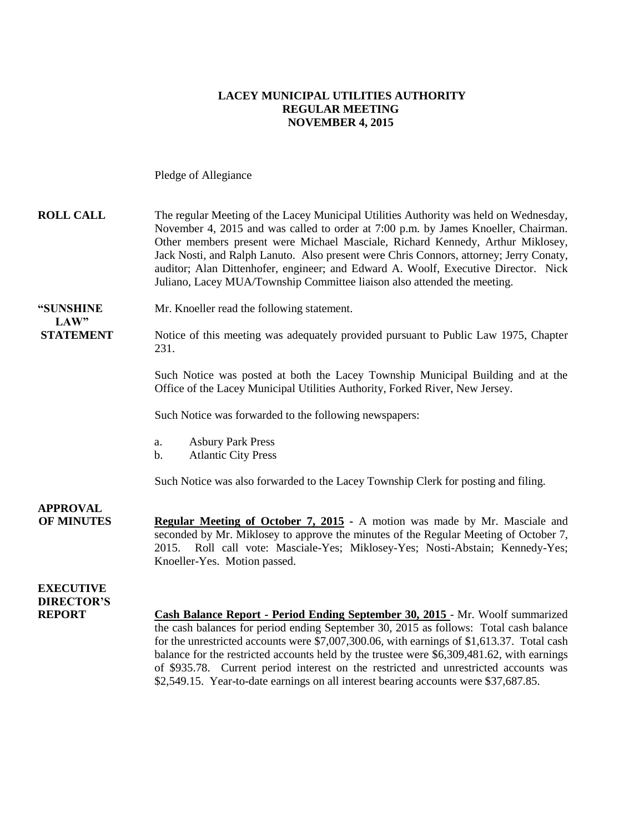### **LACEY MUNICIPAL UTILITIES AUTHORITY REGULAR MEETING NOVEMBER 4, 2015**

Pledge of Allegiance

| <b>ROLL CALL</b>                                       | The regular Meeting of the Lacey Municipal Utilities Authority was held on Wednesday,<br>November 4, 2015 and was called to order at 7:00 p.m. by James Knoeller, Chairman.<br>Other members present were Michael Masciale, Richard Kennedy, Arthur Miklosey,<br>Jack Nosti, and Ralph Lanuto. Also present were Chris Connors, attorney; Jerry Conaty,<br>auditor; Alan Dittenhofer, engineer; and Edward A. Woolf, Executive Director. Nick<br>Juliano, Lacey MUA/Township Committee liaison also attended the meeting.                          |
|--------------------------------------------------------|----------------------------------------------------------------------------------------------------------------------------------------------------------------------------------------------------------------------------------------------------------------------------------------------------------------------------------------------------------------------------------------------------------------------------------------------------------------------------------------------------------------------------------------------------|
| "SUNSHINE<br>LAW"                                      | Mr. Knoeller read the following statement.                                                                                                                                                                                                                                                                                                                                                                                                                                                                                                         |
| <b>STATEMENT</b>                                       | Notice of this meeting was adequately provided pursuant to Public Law 1975, Chapter<br>231.                                                                                                                                                                                                                                                                                                                                                                                                                                                        |
|                                                        | Such Notice was posted at both the Lacey Township Municipal Building and at the<br>Office of the Lacey Municipal Utilities Authority, Forked River, New Jersey.                                                                                                                                                                                                                                                                                                                                                                                    |
|                                                        | Such Notice was forwarded to the following newspapers:                                                                                                                                                                                                                                                                                                                                                                                                                                                                                             |
|                                                        | <b>Asbury Park Press</b><br>a.<br><b>Atlantic City Press</b><br>b.                                                                                                                                                                                                                                                                                                                                                                                                                                                                                 |
|                                                        | Such Notice was also forwarded to the Lacey Township Clerk for posting and filing.                                                                                                                                                                                                                                                                                                                                                                                                                                                                 |
| <b>APPROVAL</b><br><b>OF MINUTES</b>                   | <b>Regular Meeting of October 7, 2015 - A motion was made by Mr. Masciale and</b><br>seconded by Mr. Miklosey to approve the minutes of the Regular Meeting of October 7,<br>Roll call vote: Masciale-Yes; Miklosey-Yes; Nosti-Abstain; Kennedy-Yes;<br>2015.<br>Knoeller-Yes. Motion passed.                                                                                                                                                                                                                                                      |
| <b>EXECUTIVE</b><br><b>DIRECTOR'S</b><br><b>REPORT</b> | Cash Balance Report - Period Ending September 30, 2015 - Mr. Woolf summarized<br>the cash balances for period ending September 30, 2015 as follows: Total cash balance<br>for the unrestricted accounts were \$7,007,300.06, with earnings of \$1,613.37. Total cash<br>balance for the restricted accounts held by the trustee were \$6,309,481.62, with earnings<br>of \$935.78. Current period interest on the restricted and unrestricted accounts was<br>\$2,549.15. Year-to-date earnings on all interest bearing accounts were \$37,687.85. |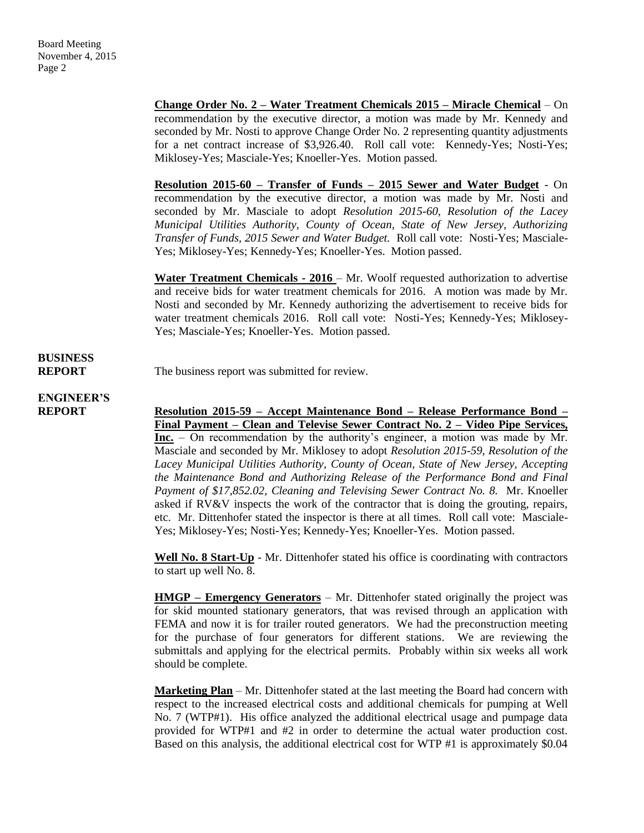**Change Order No. 2 – Water Treatment Chemicals 2015 – Miracle Chemical** – On recommendation by the executive director, a motion was made by Mr. Kennedy and seconded by Mr. Nosti to approve Change Order No. 2 representing quantity adjustments for a net contract increase of \$3,926.40. Roll call vote: Kennedy-Yes; Nosti-Yes; Miklosey-Yes; Masciale-Yes; Knoeller-Yes. Motion passed.

**Resolution 2015-60 – Transfer of Funds – 2015 Sewer and Water Budget** - On recommendation by the executive director, a motion was made by Mr. Nosti and seconded by Mr. Masciale to adopt *Resolution 2015-60, Resolution of the Lacey Municipal Utilities Authority, County of Ocean, State of New Jersey, Authorizing Transfer of Funds, 2015 Sewer and Water Budget.* Roll call vote: Nosti-Yes; Masciale-Yes; Miklosey-Yes; Kennedy-Yes; Knoeller-Yes. Motion passed.

**Water Treatment Chemicals - 2016** – Mr. Woolf requested authorization to advertise and receive bids for water treatment chemicals for 2016. A motion was made by Mr. Nosti and seconded by Mr. Kennedy authorizing the advertisement to receive bids for water treatment chemicals 2016. Roll call vote: Nosti-Yes; Kennedy-Yes; Miklosey-Yes; Masciale-Yes; Knoeller-Yes. Motion passed.

# **BUSINESS**

**REPORT** The business report was submitted for review.

# **ENGINEER'S**

**REPORT Resolution 2015-59 – Accept Maintenance Bond – Release Performance Bond – Final Payment – Clean and Televise Sewer Contract No. 2 – Video Pipe Services, Inc.** – On recommendation by the authority's engineer, a motion was made by Mr. Masciale and seconded by Mr. Miklosey to adopt *Resolution 2015-59, Resolution of the Lacey Municipal Utilities Authority, County of Ocean, State of New Jersey, Accepting the Maintenance Bond and Authorizing Release of the Performance Bond and Final Payment of \$17,852.02, Cleaning and Televising Sewer Contract No. 8.* Mr. Knoeller asked if RV&V inspects the work of the contractor that is doing the grouting, repairs, etc. Mr. Dittenhofer stated the inspector is there at all times. Roll call vote: Masciale-Yes; Miklosey-Yes; Nosti-Yes; Kennedy-Yes; Knoeller-Yes. Motion passed.

> **Well No. 8 Start**-**Up** - Mr. Dittenhofer stated his office is coordinating with contractors to start up well No. 8.

> **HMGP – Emergency Generators** – Mr. Dittenhofer stated originally the project was for skid mounted stationary generators, that was revised through an application with FEMA and now it is for trailer routed generators. We had the preconstruction meeting for the purchase of four generators for different stations. We are reviewing the submittals and applying for the electrical permits. Probably within six weeks all work should be complete.

> **Marketing Plan** – Mr. Dittenhofer stated at the last meeting the Board had concern with respect to the increased electrical costs and additional chemicals for pumping at Well No. 7 (WTP#1). His office analyzed the additional electrical usage and pumpage data provided for WTP#1 and #2 in order to determine the actual water production cost. Based on this analysis, the additional electrical cost for WTP #1 is approximately \$0.04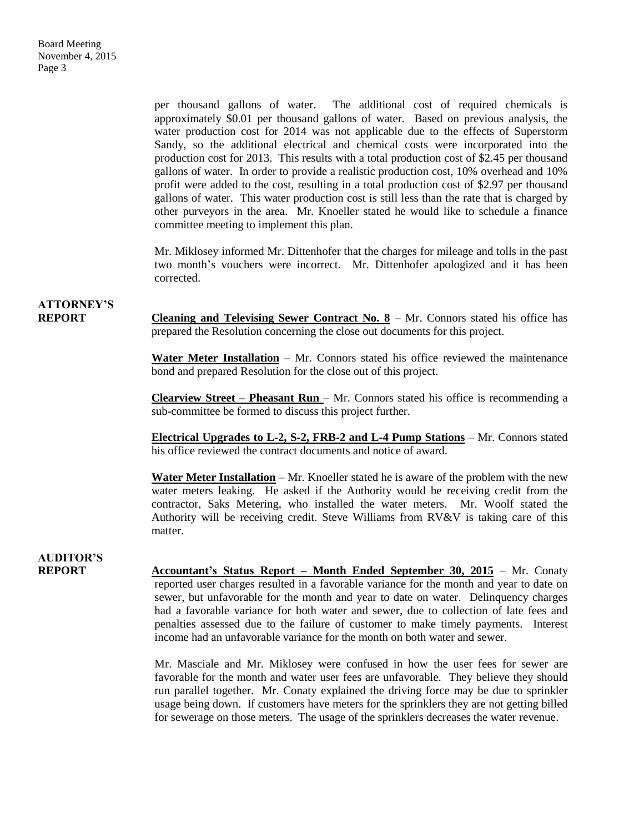per thousand gallons of water. The additional cost of required chemicals is approximately \$0.01 per thousand gallons of water. Based on previous analysis, the water production cost for 2014 was not applicable due to the effects of Superstorm Sandy, so the additional electrical and chemical costs were incorporated into the production cost for 2013. This results with a total production cost of \$2.45 per thousand gallons of water. In order to provide a realistic production cost, 10% overhead and 10% profit were added to the cost, resulting in a total production cost of \$2.97 per thousand gallons of water. This water production cost is still less than the rate that is charged by other purveyors in the area. Mr. Knoeller stated he would like to schedule a finance committee meeting to implement this plan.

Mr. Miklosey informed Mr. Dittenhofer that the charges for mileage and tolls in the past two month's vouchers were incorrect. Mr. Dittenhofer apologized and it has been corrected.

# **ATTORNEY'S**

**REPORT Cleaning and Televising Sewer Contract No. 8** – Mr. Connors stated his office has prepared the Resolution concerning the close out documents for this project.

> **Water Meter Installation** – Mr. Connors stated his office reviewed the maintenance bond and prepared Resolution for the close out of this project.

> **Clearview Street – Pheasant Run** – Mr. Connors stated his office is recommending a sub-committee be formed to discuss this project further.

> **Electrical Upgrades to L-2, S-2, FRB-2 and L-4 Pump Stations** – Mr. Connors stated his office reviewed the contract documents and notice of award.

> **Water Meter Installation** – Mr. Knoeller stated he is aware of the problem with the new water meters leaking. He asked if the Authority would be receiving credit from the contractor, Saks Metering, who installed the water meters. Mr. Woolf stated the Authority will be receiving credit. Steve Williams from RV&V is taking care of this matter.

## **AUDITOR'S**

**REPORT Accountant's Status Report – Month Ended September 30, 2015** – Mr. Conaty reported user charges resulted in a favorable variance for the month and year to date on sewer, but unfavorable for the month and year to date on water. Delinquency charges had a favorable variance for both water and sewer, due to collection of late fees and penalties assessed due to the failure of customer to make timely payments. Interest income had an unfavorable variance for the month on both water and sewer.

> Mr. Masciale and Mr. Miklosey were confused in how the user fees for sewer are favorable for the month and water user fees are unfavorable. They believe they should run parallel together. Mr. Conaty explained the driving force may be due to sprinkler usage being down. If customers have meters for the sprinklers they are not getting billed for sewerage on those meters. The usage of the sprinklers decreases the water revenue.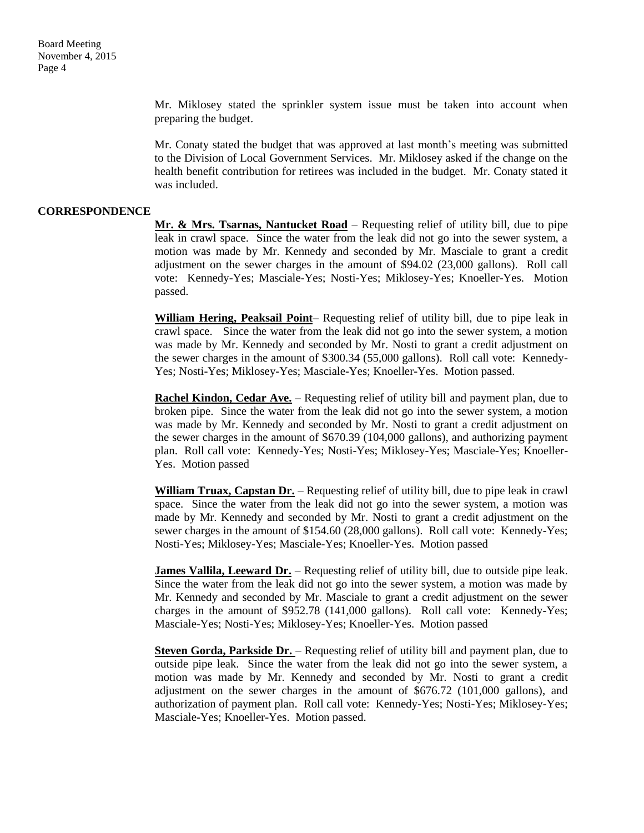Mr. Miklosey stated the sprinkler system issue must be taken into account when preparing the budget.

Mr. Conaty stated the budget that was approved at last month's meeting was submitted to the Division of Local Government Services. Mr. Miklosey asked if the change on the health benefit contribution for retirees was included in the budget. Mr. Conaty stated it was included.

#### **CORRESPONDENCE**

**Mr. & Mrs. Tsarnas, Nantucket Road** – Requesting relief of utility bill, due to pipe leak in crawl space. Since the water from the leak did not go into the sewer system, a motion was made by Mr. Kennedy and seconded by Mr. Masciale to grant a credit adjustment on the sewer charges in the amount of \$94.02 (23,000 gallons). Roll call vote: Kennedy-Yes; Masciale-Yes; Nosti-Yes; Miklosey-Yes; Knoeller-Yes. Motion passed.

**William Hering, Peaksail Point**– Requesting relief of utility bill, due to pipe leak in crawl space. Since the water from the leak did not go into the sewer system, a motion was made by Mr. Kennedy and seconded by Mr. Nosti to grant a credit adjustment on the sewer charges in the amount of \$300.34 (55,000 gallons). Roll call vote: Kennedy-Yes; Nosti-Yes; Miklosey-Yes; Masciale-Yes; Knoeller-Yes. Motion passed.

**Rachel Kindon, Cedar Ave.** – Requesting relief of utility bill and payment plan, due to broken pipe. Since the water from the leak did not go into the sewer system, a motion was made by Mr. Kennedy and seconded by Mr. Nosti to grant a credit adjustment on the sewer charges in the amount of \$670.39 (104,000 gallons), and authorizing payment plan. Roll call vote: Kennedy-Yes; Nosti-Yes; Miklosey-Yes; Masciale-Yes; Knoeller-Yes. Motion passed

**William Truax, Capstan Dr.** – Requesting relief of utility bill, due to pipe leak in crawl space. Since the water from the leak did not go into the sewer system, a motion was made by Mr. Kennedy and seconded by Mr. Nosti to grant a credit adjustment on the sewer charges in the amount of \$154.60 (28,000 gallons). Roll call vote: Kennedy-Yes; Nosti-Yes; Miklosey-Yes; Masciale-Yes; Knoeller-Yes. Motion passed

**James Vallila, Leeward Dr.** – Requesting relief of utility bill, due to outside pipe leak. Since the water from the leak did not go into the sewer system, a motion was made by Mr. Kennedy and seconded by Mr. Masciale to grant a credit adjustment on the sewer charges in the amount of \$952.78 (141,000 gallons). Roll call vote: Kennedy-Yes; Masciale-Yes; Nosti-Yes; Miklosey-Yes; Knoeller-Yes. Motion passed

**Steven Gorda, Parkside Dr.** – Requesting relief of utility bill and payment plan, due to outside pipe leak. Since the water from the leak did not go into the sewer system, a motion was made by Mr. Kennedy and seconded by Mr. Nosti to grant a credit adjustment on the sewer charges in the amount of \$676.72 (101,000 gallons), and authorization of payment plan. Roll call vote: Kennedy-Yes; Nosti-Yes; Miklosey-Yes; Masciale-Yes; Knoeller-Yes. Motion passed.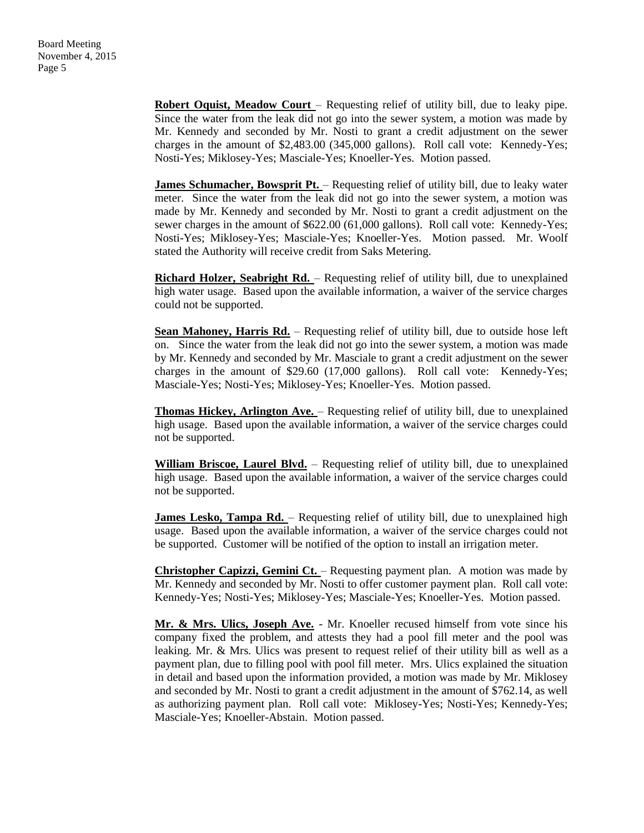**Robert Oquist, Meadow Court** – Requesting relief of utility bill, due to leaky pipe. Since the water from the leak did not go into the sewer system, a motion was made by Mr. Kennedy and seconded by Mr. Nosti to grant a credit adjustment on the sewer charges in the amount of \$2,483.00 (345,000 gallons). Roll call vote: Kennedy-Yes; Nosti-Yes; Miklosey-Yes; Masciale-Yes; Knoeller-Yes. Motion passed.

**James Schumacher, Bowsprit Pt.** - Requesting relief of utility bill, due to leaky water meter. Since the water from the leak did not go into the sewer system, a motion was made by Mr. Kennedy and seconded by Mr. Nosti to grant a credit adjustment on the sewer charges in the amount of \$622.00 (61,000 gallons). Roll call vote: Kennedy-Yes; Nosti-Yes; Miklosey-Yes; Masciale-Yes; Knoeller-Yes. Motion passed. Mr. Woolf stated the Authority will receive credit from Saks Metering.

**Richard Holzer, Seabright Rd.** – Requesting relief of utility bill, due to unexplained high water usage. Based upon the available information, a waiver of the service charges could not be supported.

Sean Mahoney, Harris Rd. - Requesting relief of utility bill, due to outside hose left on. Since the water from the leak did not go into the sewer system, a motion was made by Mr. Kennedy and seconded by Mr. Masciale to grant a credit adjustment on the sewer charges in the amount of \$29.60 (17,000 gallons). Roll call vote: Kennedy-Yes; Masciale-Yes; Nosti-Yes; Miklosey-Yes; Knoeller-Yes. Motion passed.

**Thomas Hickey, Arlington Ave.** – Requesting relief of utility bill, due to unexplained high usage. Based upon the available information, a waiver of the service charges could not be supported.

**William Briscoe, Laurel Blvd.** – Requesting relief of utility bill, due to unexplained high usage. Based upon the available information, a waiver of the service charges could not be supported.

**James Lesko, Tampa Rd.** – Requesting relief of utility bill, due to unexplained high usage. Based upon the available information, a waiver of the service charges could not be supported. Customer will be notified of the option to install an irrigation meter.

**Christopher Capizzi, Gemini Ct.** – Requesting payment plan. A motion was made by Mr. Kennedy and seconded by Mr. Nosti to offer customer payment plan. Roll call vote: Kennedy-Yes; Nosti-Yes; Miklosey-Yes; Masciale-Yes; Knoeller-Yes. Motion passed.

**Mr. & Mrs. Ulics, Joseph Ave.** - Mr. Knoeller recused himself from vote since his company fixed the problem, and attests they had a pool fill meter and the pool was leaking. Mr. & Mrs. Ulics was present to request relief of their utility bill as well as a payment plan, due to filling pool with pool fill meter. Mrs. Ulics explained the situation in detail and based upon the information provided, a motion was made by Mr. Miklosey and seconded by Mr. Nosti to grant a credit adjustment in the amount of \$762.14, as well as authorizing payment plan. Roll call vote: Miklosey-Yes; Nosti-Yes; Kennedy-Yes; Masciale-Yes; Knoeller-Abstain. Motion passed.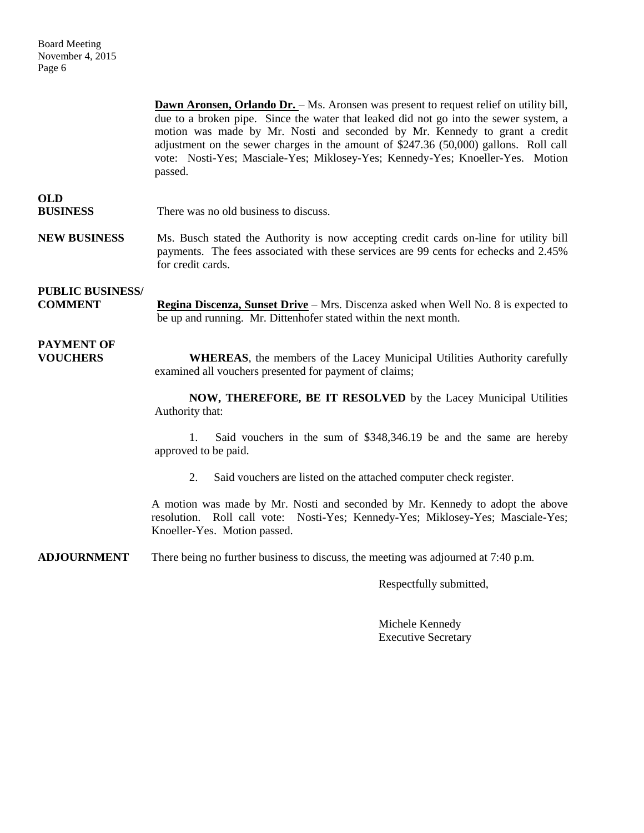**Dawn Aronsen, Orlando Dr.** – Ms. Aronsen was present to request relief on utility bill, due to a broken pipe. Since the water that leaked did not go into the sewer system, a motion was made by Mr. Nosti and seconded by Mr. Kennedy to grant a credit adjustment on the sewer charges in the amount of \$247.36 (50,000) gallons. Roll call vote: Nosti-Yes; Masciale-Yes; Miklosey-Yes; Kennedy-Yes; Knoeller-Yes. Motion passed.

### **OLD**

**BUSINESS** There was no old business to discuss.

**NEW BUSINESS** Ms. Busch stated the Authority is now accepting credit cards on-line for utility bill payments. The fees associated with these services are 99 cents for echecks and 2.45% for credit cards.

### **PUBLIC BUSINESS/**

**COMMENT Regina Discenza, Sunset Drive** – Mrs. Discenza asked when Well No. 8 is expected to be up and running. Mr. Dittenhofer stated within the next month.

# **PAYMENT OF**

**VOUCHERS WHEREAS**, the members of the Lacey Municipal Utilities Authority carefully examined all vouchers presented for payment of claims;

> **NOW, THEREFORE, BE IT RESOLVED** by the Lacey Municipal Utilities Authority that:

> 1. Said vouchers in the sum of \$348,346.19 be and the same are hereby approved to be paid.

2. Said vouchers are listed on the attached computer check register.

A motion was made by Mr. Nosti and seconded by Mr. Kennedy to adopt the above resolution. Roll call vote: Nosti-Yes; Kennedy-Yes; Miklosey-Yes; Masciale-Yes; Knoeller-Yes. Motion passed.

**ADJOURNMENT** There being no further business to discuss, the meeting was adjourned at 7:40 p.m.

Respectfully submitted,

Michele Kennedy Executive Secretary